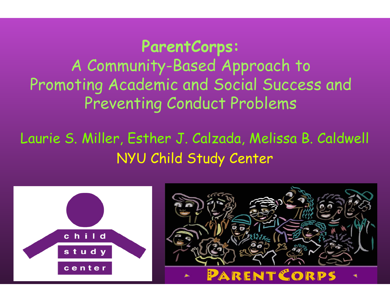### **ParentCorps:**

A Community-Based Approach to Promoting Academic and Social Success and Preventing Conduct Problems

### Laurie S. Miller, Esther J. Calzada, Melissa B. Caldwell NYU Child Study Center



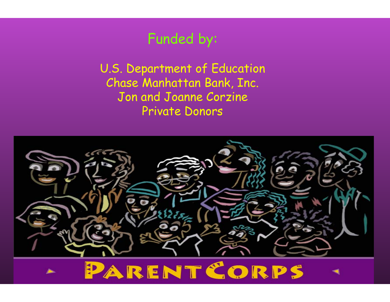#### Funded by:

U.S. Department of Education Chase Manhattan Bank, Inc. Jon and Joanne Corzine Private Donors

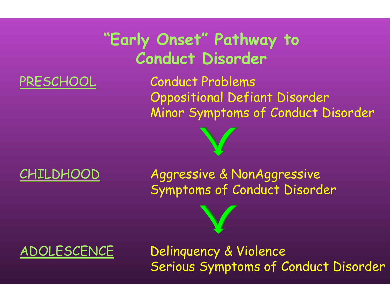### "Early Onset" Pathway to **Conduct Disorder**



**Conduct Problems Oppositional Defiant Disorder** Minor Symptoms of Conduct Disorder







Delinquency & Violence Serious Symptoms of Conduct Disorder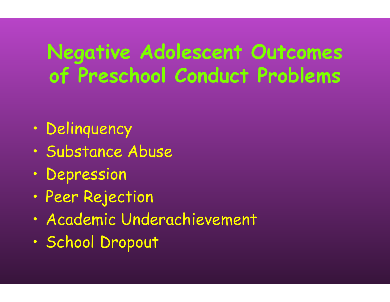## **Negative Adolescent Outcomes of Preschool Conduct Problems**

- $\bullet$ · Delinquency
- $\bullet$ · Substance Abuse
- $\bullet$ Depression
- $\bullet$ Peer Rejection
- $\bullet$ Academic Underachievement
- $\bullet$ • School Dropout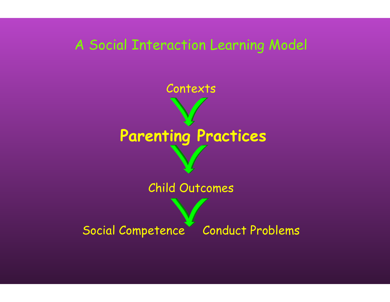#### A Social Interaction Learning Model

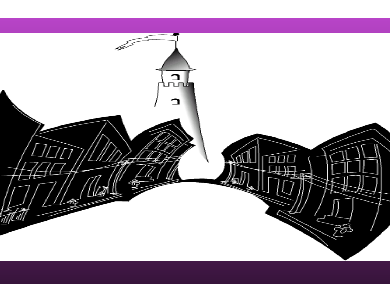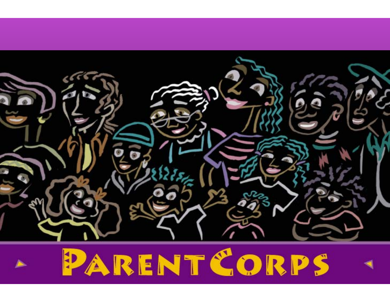



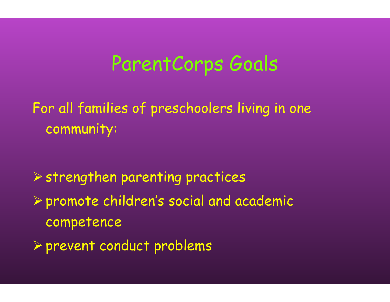### ParentCorps Goals

For all families of preschoolers living in one community:

 $\triangleright$  strengthen parenting practices

 $\triangleright$  promote children's social and academic competence

prevent conduct problems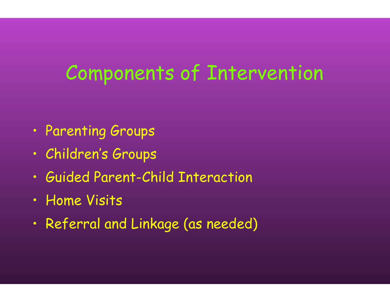## Components of Intervention

- Parenting Groups
- $\bullet$ Children's Groups
- $\bullet$ Guided Parent-Child Interaction
- $\bullet$ Home Visits
- $\bullet$ • Referral and Linkage (as needed)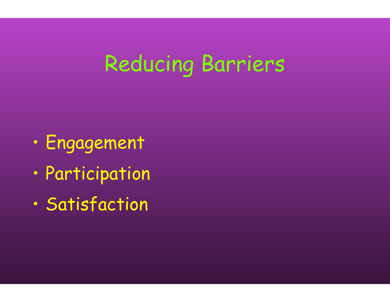Reducing Barriers

- $\bullet$ Engagement
- $\bullet$ Participation
- $\bullet$ Satisfaction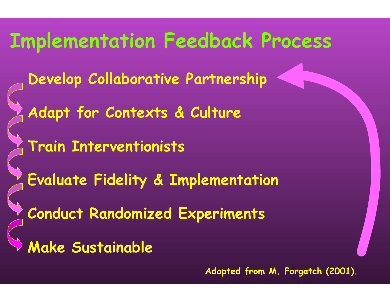**Implementation Feedback Process Develop Collaborative Partnership Adapt f or Contexts & Culture Train Interventionists Evaluate Fidelity & Implementation Conduct Randomized Exper iments Make Sustainable**

**Adapted from M. For gatch (2001).**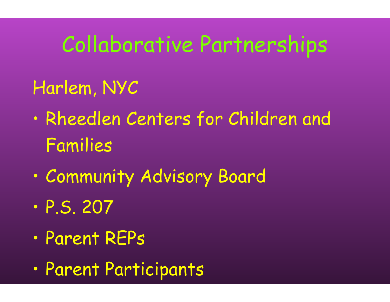# Collaborative Partnerships

### Harlem, NYC

- $\bullet$  Rheedlen Centers for Children and Families
- $\bullet$ Community Advisory Board
- $\bullet$ P.S. 207
- $\bullet$ Parent REPs
- $\bullet$ Parent Participants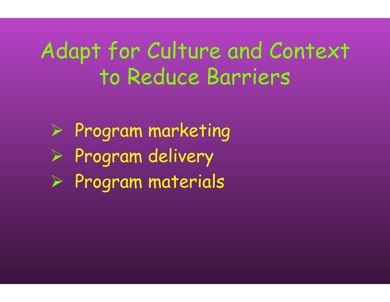# Adapt for Culture and Context to Reduce Barriers

 $\triangleright$  Program marketing  $\triangleright$  Program delivery  $\triangleright$  Program materials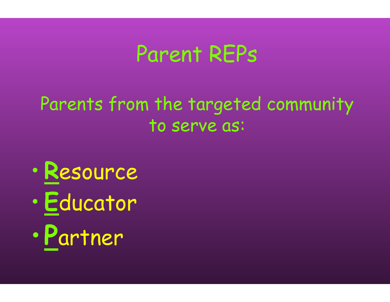## **Parent REPs**

### Parents from the targeted community to serve as:

- · Resource
- · Educator
- Partner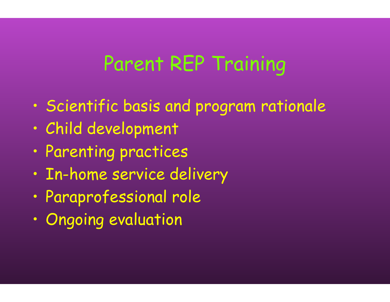## Parent REP Training

- $\bullet$  $\cdot$  Scientific basis and program rationale
- $\bullet$ Child development
- $\bullet$ Parenting practices
- $\bullet$ • In-home service delivery
- $\bullet$ Paraprofessional role
- $\bullet$ · Ongoing evaluation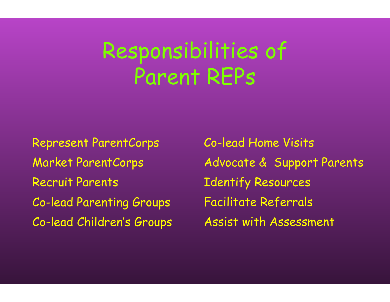# Responsibilities of Parent REPs

Represent ParentCor p s Market ParentCorps Recruit Parents Co-lead Parenting Groups Co-lead Children's Groups

Co-lead Home Visits Advocate & Support Parents Identify Resources Facilitate Referrals Assist with Assessment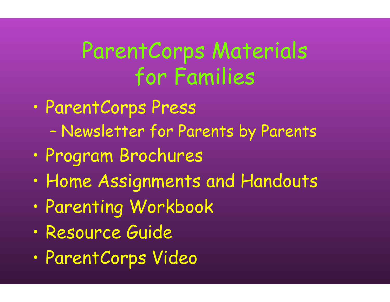# ParentCorps Materials for Families

- $\bullet$ ParentCorps Press –Newsletter for Parents by Parents
- $\bullet$ Program Brochures
- $\bullet$ Home Assignments and Handouts
- $\bullet$ Parenting Workbook
- $\bullet$ Resource Guide
- $\bullet$ ParentCorps Video